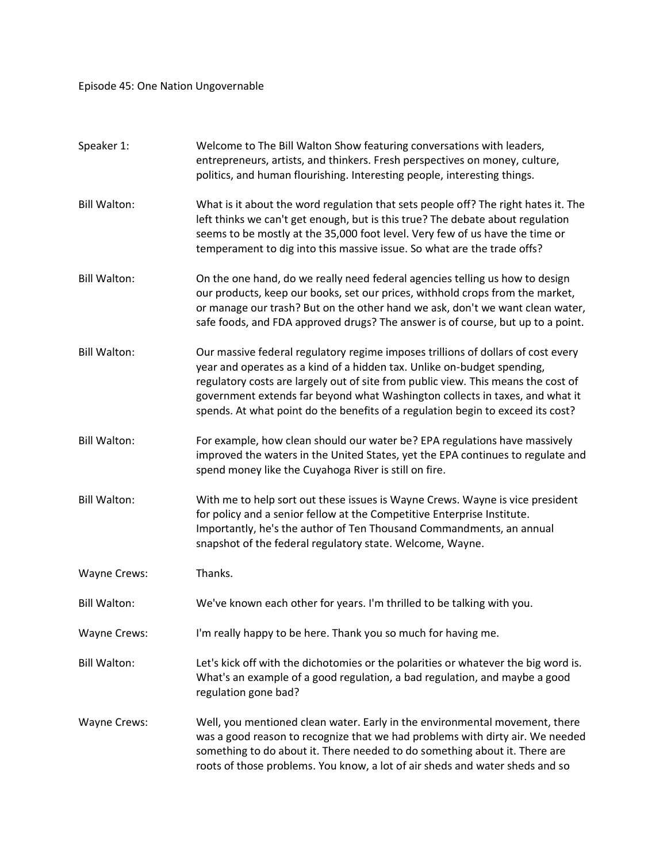Episode 45: One Nation Ungovernable

| Speaker 1:          | Welcome to The Bill Walton Show featuring conversations with leaders,<br>entrepreneurs, artists, and thinkers. Fresh perspectives on money, culture,<br>politics, and human flourishing. Interesting people, interesting things.                                                                                                                                                                                    |
|---------------------|---------------------------------------------------------------------------------------------------------------------------------------------------------------------------------------------------------------------------------------------------------------------------------------------------------------------------------------------------------------------------------------------------------------------|
| <b>Bill Walton:</b> | What is it about the word regulation that sets people off? The right hates it. The<br>left thinks we can't get enough, but is this true? The debate about regulation<br>seems to be mostly at the 35,000 foot level. Very few of us have the time or<br>temperament to dig into this massive issue. So what are the trade offs?                                                                                     |
| <b>Bill Walton:</b> | On the one hand, do we really need federal agencies telling us how to design<br>our products, keep our books, set our prices, withhold crops from the market,<br>or manage our trash? But on the other hand we ask, don't we want clean water,<br>safe foods, and FDA approved drugs? The answer is of course, but up to a point.                                                                                   |
| <b>Bill Walton:</b> | Our massive federal regulatory regime imposes trillions of dollars of cost every<br>year and operates as a kind of a hidden tax. Unlike on-budget spending,<br>regulatory costs are largely out of site from public view. This means the cost of<br>government extends far beyond what Washington collects in taxes, and what it<br>spends. At what point do the benefits of a regulation begin to exceed its cost? |
| <b>Bill Walton:</b> | For example, how clean should our water be? EPA regulations have massively<br>improved the waters in the United States, yet the EPA continues to regulate and<br>spend money like the Cuyahoga River is still on fire.                                                                                                                                                                                              |
| <b>Bill Walton:</b> | With me to help sort out these issues is Wayne Crews. Wayne is vice president<br>for policy and a senior fellow at the Competitive Enterprise Institute.<br>Importantly, he's the author of Ten Thousand Commandments, an annual<br>snapshot of the federal regulatory state. Welcome, Wayne.                                                                                                                       |
| Wayne Crews:        | Thanks.                                                                                                                                                                                                                                                                                                                                                                                                             |
| <b>Bill Walton:</b> | We've known each other for years. I'm thrilled to be talking with you.                                                                                                                                                                                                                                                                                                                                              |
| <b>Wayne Crews:</b> | I'm really happy to be here. Thank you so much for having me.                                                                                                                                                                                                                                                                                                                                                       |
| <b>Bill Walton:</b> | Let's kick off with the dichotomies or the polarities or whatever the big word is.<br>What's an example of a good regulation, a bad regulation, and maybe a good<br>regulation gone bad?                                                                                                                                                                                                                            |
| <b>Wayne Crews:</b> | Well, you mentioned clean water. Early in the environmental movement, there<br>was a good reason to recognize that we had problems with dirty air. We needed<br>something to do about it. There needed to do something about it. There are<br>roots of those problems. You know, a lot of air sheds and water sheds and so                                                                                          |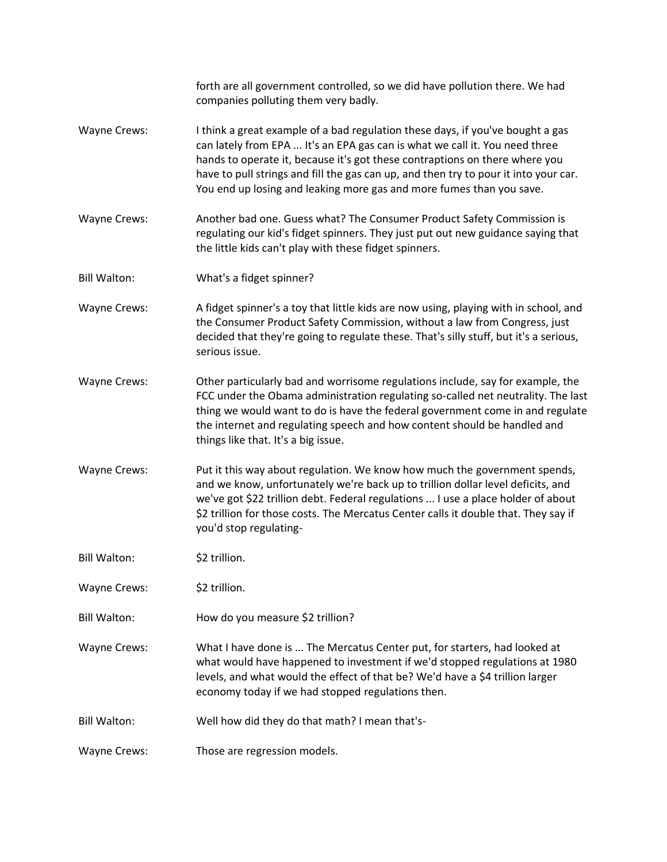|                     | forth are all government controlled, so we did have pollution there. We had<br>companies polluting them very badly.                                                                                                                                                                                                                                                                                          |
|---------------------|--------------------------------------------------------------------------------------------------------------------------------------------------------------------------------------------------------------------------------------------------------------------------------------------------------------------------------------------------------------------------------------------------------------|
| <b>Wayne Crews:</b> | I think a great example of a bad regulation these days, if you've bought a gas<br>can lately from EPA  It's an EPA gas can is what we call it. You need three<br>hands to operate it, because it's got these contraptions on there where you<br>have to pull strings and fill the gas can up, and then try to pour it into your car.<br>You end up losing and leaking more gas and more fumes than you save. |
| <b>Wayne Crews:</b> | Another bad one. Guess what? The Consumer Product Safety Commission is<br>regulating our kid's fidget spinners. They just put out new guidance saying that<br>the little kids can't play with these fidget spinners.                                                                                                                                                                                         |
| <b>Bill Walton:</b> | What's a fidget spinner?                                                                                                                                                                                                                                                                                                                                                                                     |
| <b>Wayne Crews:</b> | A fidget spinner's a toy that little kids are now using, playing with in school, and<br>the Consumer Product Safety Commission, without a law from Congress, just<br>decided that they're going to regulate these. That's silly stuff, but it's a serious,<br>serious issue.                                                                                                                                 |
| <b>Wayne Crews:</b> | Other particularly bad and worrisome regulations include, say for example, the<br>FCC under the Obama administration regulating so-called net neutrality. The last<br>thing we would want to do is have the federal government come in and regulate<br>the internet and regulating speech and how content should be handled and<br>things like that. It's a big issue.                                       |
| <b>Wayne Crews:</b> | Put it this way about regulation. We know how much the government spends,<br>and we know, unfortunately we're back up to trillion dollar level deficits, and<br>we've got \$22 trillion debt. Federal regulations  I use a place holder of about<br>\$2 trillion for those costs. The Mercatus Center calls it double that. They say if<br>you'd stop regulating-                                            |
| <b>Bill Walton:</b> | \$2 trillion.                                                                                                                                                                                                                                                                                                                                                                                                |
| <b>Wayne Crews:</b> | \$2 trillion.                                                                                                                                                                                                                                                                                                                                                                                                |
| <b>Bill Walton:</b> | How do you measure \$2 trillion?                                                                                                                                                                                                                                                                                                                                                                             |
| <b>Wayne Crews:</b> | What I have done is  The Mercatus Center put, for starters, had looked at<br>what would have happened to investment if we'd stopped regulations at 1980<br>levels, and what would the effect of that be? We'd have a \$4 trillion larger<br>economy today if we had stopped regulations then.                                                                                                                |
| <b>Bill Walton:</b> | Well how did they do that math? I mean that's-                                                                                                                                                                                                                                                                                                                                                               |
| <b>Wayne Crews:</b> | Those are regression models.                                                                                                                                                                                                                                                                                                                                                                                 |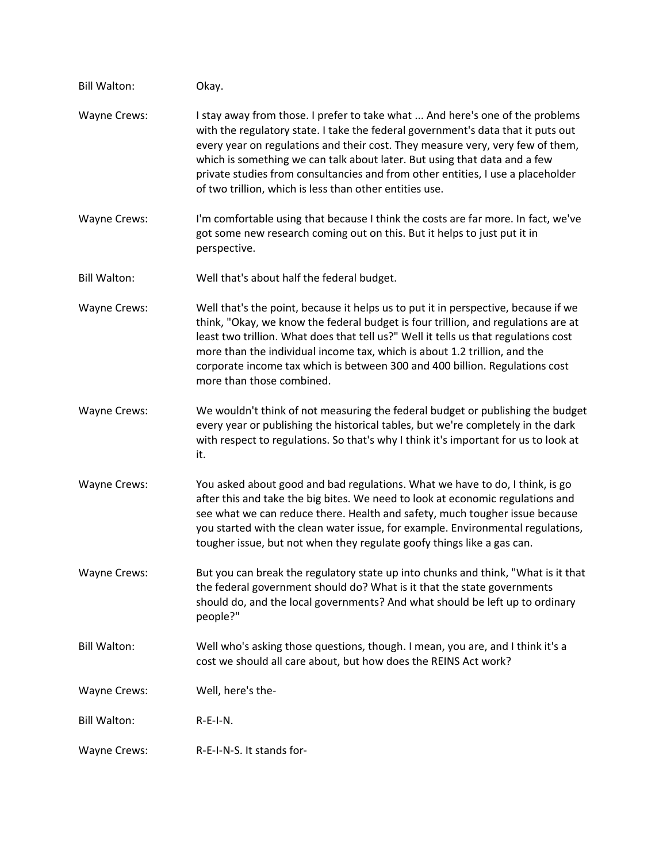| <b>Bill Walton:</b> | Okay.                                                                                                                                                                                                                                                                                                                                                                                                                                                                          |
|---------------------|--------------------------------------------------------------------------------------------------------------------------------------------------------------------------------------------------------------------------------------------------------------------------------------------------------------------------------------------------------------------------------------------------------------------------------------------------------------------------------|
| <b>Wayne Crews:</b> | I stay away from those. I prefer to take what  And here's one of the problems<br>with the regulatory state. I take the federal government's data that it puts out<br>every year on regulations and their cost. They measure very, very few of them,<br>which is something we can talk about later. But using that data and a few<br>private studies from consultancies and from other entities, I use a placeholder<br>of two trillion, which is less than other entities use. |
| <b>Wayne Crews:</b> | I'm comfortable using that because I think the costs are far more. In fact, we've<br>got some new research coming out on this. But it helps to just put it in<br>perspective.                                                                                                                                                                                                                                                                                                  |
| <b>Bill Walton:</b> | Well that's about half the federal budget.                                                                                                                                                                                                                                                                                                                                                                                                                                     |
| <b>Wayne Crews:</b> | Well that's the point, because it helps us to put it in perspective, because if we<br>think, "Okay, we know the federal budget is four trillion, and regulations are at<br>least two trillion. What does that tell us?" Well it tells us that regulations cost<br>more than the individual income tax, which is about 1.2 trillion, and the<br>corporate income tax which is between 300 and 400 billion. Regulations cost<br>more than those combined.                        |
| <b>Wayne Crews:</b> | We wouldn't think of not measuring the federal budget or publishing the budget<br>every year or publishing the historical tables, but we're completely in the dark<br>with respect to regulations. So that's why I think it's important for us to look at<br>it.                                                                                                                                                                                                               |
| <b>Wayne Crews:</b> | You asked about good and bad regulations. What we have to do, I think, is go<br>after this and take the big bites. We need to look at economic regulations and<br>see what we can reduce there. Health and safety, much tougher issue because<br>you started with the clean water issue, for example. Environmental regulations,<br>tougher issue, but not when they regulate goofy things like a gas can.                                                                     |
| <b>Wayne Crews:</b> | But you can break the regulatory state up into chunks and think, "What is it that<br>the federal government should do? What is it that the state governments<br>should do, and the local governments? And what should be left up to ordinary<br>people?"                                                                                                                                                                                                                       |
| <b>Bill Walton:</b> | Well who's asking those questions, though. I mean, you are, and I think it's a<br>cost we should all care about, but how does the REINS Act work?                                                                                                                                                                                                                                                                                                                              |
| Wayne Crews:        | Well, here's the-                                                                                                                                                                                                                                                                                                                                                                                                                                                              |
| <b>Bill Walton:</b> | $R-E-I-N.$                                                                                                                                                                                                                                                                                                                                                                                                                                                                     |
| Wayne Crews:        | R-E-I-N-S. It stands for-                                                                                                                                                                                                                                                                                                                                                                                                                                                      |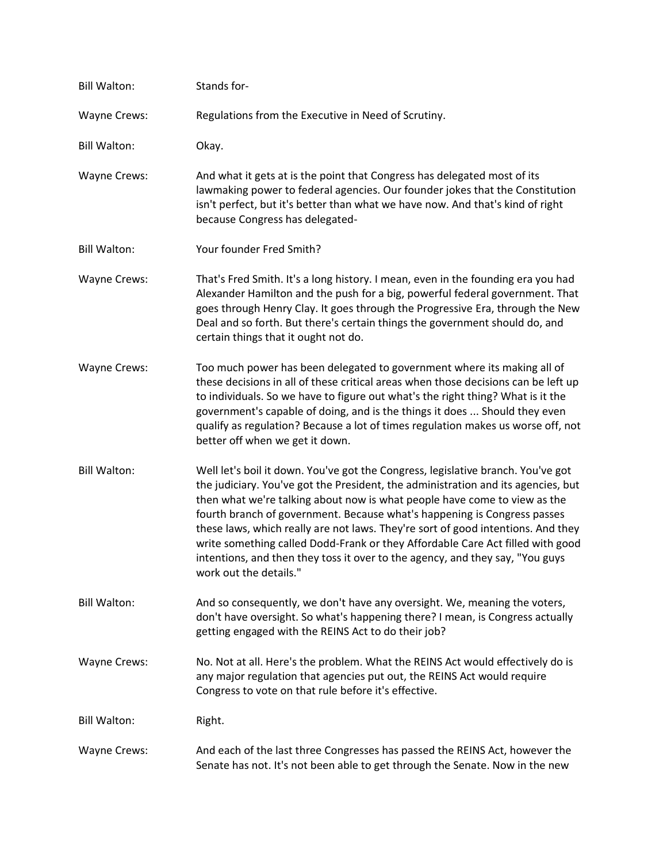| <b>Bill Walton:</b> | Stands for-                                                                                                                                                                                                                                                                                                                                                                                                                                                                                                                                                                                                     |
|---------------------|-----------------------------------------------------------------------------------------------------------------------------------------------------------------------------------------------------------------------------------------------------------------------------------------------------------------------------------------------------------------------------------------------------------------------------------------------------------------------------------------------------------------------------------------------------------------------------------------------------------------|
| Wayne Crews:        | Regulations from the Executive in Need of Scrutiny.                                                                                                                                                                                                                                                                                                                                                                                                                                                                                                                                                             |
| <b>Bill Walton:</b> | Okay.                                                                                                                                                                                                                                                                                                                                                                                                                                                                                                                                                                                                           |
| Wayne Crews:        | And what it gets at is the point that Congress has delegated most of its<br>lawmaking power to federal agencies. Our founder jokes that the Constitution<br>isn't perfect, but it's better than what we have now. And that's kind of right<br>because Congress has delegated-                                                                                                                                                                                                                                                                                                                                   |
| <b>Bill Walton:</b> | Your founder Fred Smith?                                                                                                                                                                                                                                                                                                                                                                                                                                                                                                                                                                                        |
| Wayne Crews:        | That's Fred Smith. It's a long history. I mean, even in the founding era you had<br>Alexander Hamilton and the push for a big, powerful federal government. That<br>goes through Henry Clay. It goes through the Progressive Era, through the New<br>Deal and so forth. But there's certain things the government should do, and<br>certain things that it ought not do.                                                                                                                                                                                                                                        |
| Wayne Crews:        | Too much power has been delegated to government where its making all of<br>these decisions in all of these critical areas when those decisions can be left up<br>to individuals. So we have to figure out what's the right thing? What is it the<br>government's capable of doing, and is the things it does  Should they even<br>qualify as regulation? Because a lot of times regulation makes us worse off, not<br>better off when we get it down.                                                                                                                                                           |
| <b>Bill Walton:</b> | Well let's boil it down. You've got the Congress, legislative branch. You've got<br>the judiciary. You've got the President, the administration and its agencies, but<br>then what we're talking about now is what people have come to view as the<br>fourth branch of government. Because what's happening is Congress passes<br>these laws, which really are not laws. They're sort of good intentions. And they<br>write something called Dodd-Frank or they Affordable Care Act filled with good<br>intentions, and then they toss it over to the agency, and they say, "You guys<br>work out the details." |
| <b>Bill Walton:</b> | And so consequently, we don't have any oversight. We, meaning the voters,<br>don't have oversight. So what's happening there? I mean, is Congress actually<br>getting engaged with the REINS Act to do their job?                                                                                                                                                                                                                                                                                                                                                                                               |
| Wayne Crews:        | No. Not at all. Here's the problem. What the REINS Act would effectively do is<br>any major regulation that agencies put out, the REINS Act would require<br>Congress to vote on that rule before it's effective.                                                                                                                                                                                                                                                                                                                                                                                               |
| <b>Bill Walton:</b> | Right.                                                                                                                                                                                                                                                                                                                                                                                                                                                                                                                                                                                                          |
| <b>Wayne Crews:</b> | And each of the last three Congresses has passed the REINS Act, however the<br>Senate has not. It's not been able to get through the Senate. Now in the new                                                                                                                                                                                                                                                                                                                                                                                                                                                     |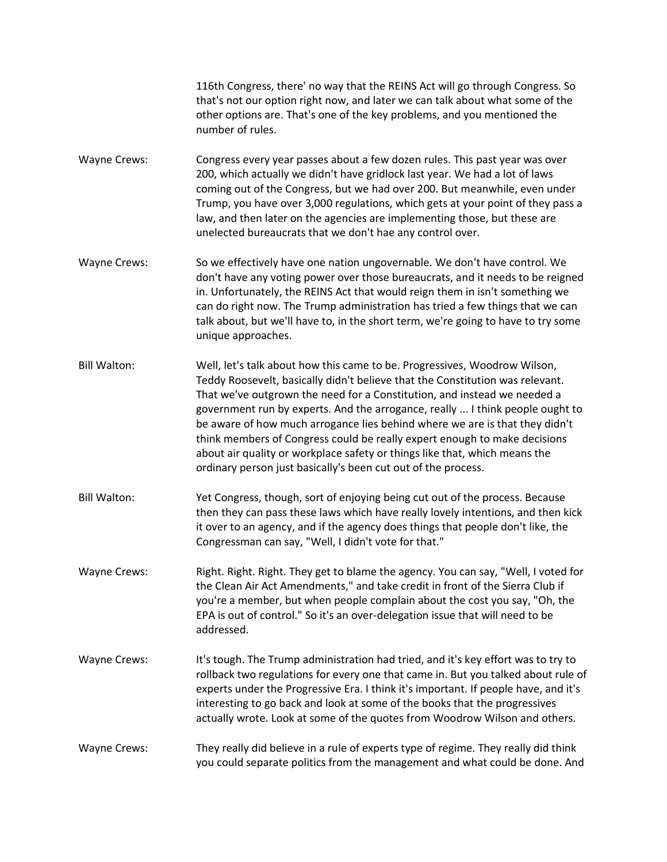116th Congress, there' no way that the REINS Act will go through Congress. So that's not our option right now, and later we can talk about what some of the other options are. That's one of the key problems, and you mentioned the number of rules.

- Wayne Crews: Congress every year passes about a few dozen rules. This past year was over 200, which actually we didn't have gridlock last year. We had a lot of laws coming out of the Congress, but we had over 200. But meanwhile, even under Trump, you have over 3,000 regulations, which gets at your point of they pass a law, and then later on the agencies are implementing those, but these are unelected bureaucrats that we don't hae any control over.
- Wayne Crews: So we effectively have one nation ungovernable. We don't have control. We don't have any voting power over those bureaucrats, and it needs to be reigned in. Unfortunately, the REINS Act that would reign them in isn't something we can do right now. The Trump administration has tried a few things that we can talk about, but we'll have to, in the short term, we're going to have to try some unique approaches.
- Bill Walton: Well, let's talk about how this came to be. Progressives, Woodrow Wilson, Teddy Roosevelt, basically didn't believe that the Constitution was relevant. That we've outgrown the need for a Constitution, and instead we needed a government run by experts. And the arrogance, really ... I think people ought to be aware of how much arrogance lies behind where we are is that they didn't think members of Congress could be really expert enough to make decisions about air quality or workplace safety or things like that, which means the ordinary person just basically's been cut out of the process.
- Bill Walton: Yet Congress, though, sort of enjoying being cut out of the process. Because then they can pass these laws which have really lovely intentions, and then kick it over to an agency, and if the agency does things that people don't like, the Congressman can say, "Well, I didn't vote for that."
- Wayne Crews: Right. Right. Right. They get to blame the agency. You can say, "Well, I voted for the Clean Air Act Amendments," and take credit in front of the Sierra Club if you're a member, but when people complain about the cost you say, "Oh, the EPA is out of control." So it's an over-delegation issue that will need to be addressed.
- Wayne Crews: It's tough. The Trump administration had tried, and it's key effort was to try to rollback two regulations for every one that came in. But you talked about rule of experts under the Progressive Era. I think it's important. If people have, and it's interesting to go back and look at some of the books that the progressives actually wrote. Look at some of the quotes from Woodrow Wilson and others.

## Wayne Crews: They really did believe in a rule of experts type of regime. They really did think you could separate politics from the management and what could be done. And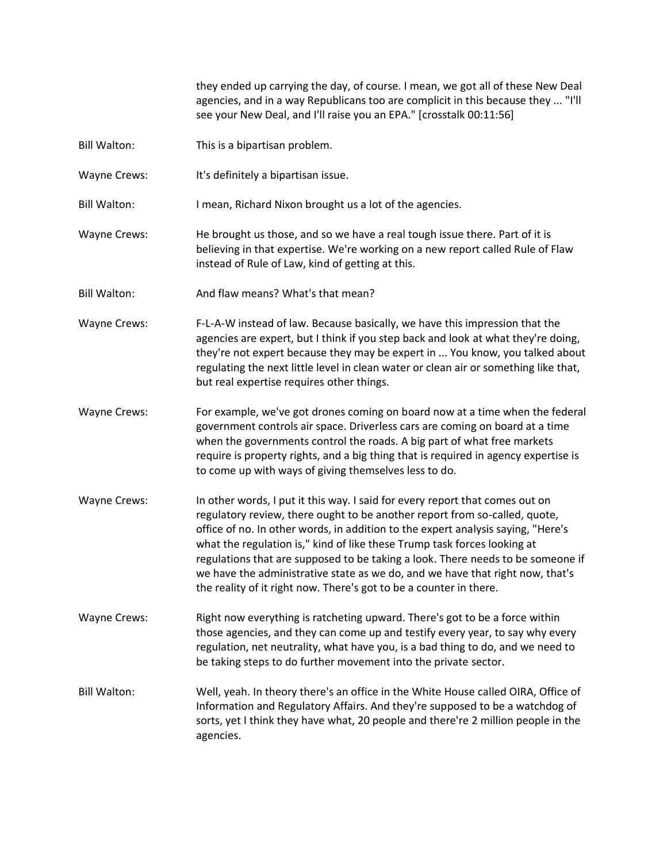they ended up carrying the day, of course. I mean, we got all of these New Deal agencies, and in a way Republicans too are complicit in this because they ... "I'll see your New Deal, and I'll raise you an EPA." [crosstalk 00:11:56]

- Bill Walton: This is a bipartisan problem.
- Wayne Crews: It's definitely a bipartisan issue.

Bill Walton: I mean, Richard Nixon brought us a lot of the agencies.

- Wayne Crews: He brought us those, and so we have a real tough issue there. Part of it is believing in that expertise. We're working on a new report called Rule of Flaw instead of Rule of Law, kind of getting at this.
- Bill Walton: And flaw means? What's that mean?
- Wayne Crews: F-L-A-W instead of law. Because basically, we have this impression that the agencies are expert, but I think if you step back and look at what they're doing, they're not expert because they may be expert in ... You know, you talked about regulating the next little level in clean water or clean air or something like that, but real expertise requires other things.
- Wayne Crews: For example, we've got drones coming on board now at a time when the federal government controls air space. Driverless cars are coming on board at a time when the governments control the roads. A big part of what free markets require is property rights, and a big thing that is required in agency expertise is to come up with ways of giving themselves less to do.
- Wayne Crews: In other words, I put it this way. I said for every report that comes out on regulatory review, there ought to be another report from so-called, quote, office of no. In other words, in addition to the expert analysis saying, "Here's what the regulation is," kind of like these Trump task forces looking at regulations that are supposed to be taking a look. There needs to be someone if we have the administrative state as we do, and we have that right now, that's the reality of it right now. There's got to be a counter in there.
- Wayne Crews: Right now everything is ratcheting upward. There's got to be a force within those agencies, and they can come up and testify every year, to say why every regulation, net neutrality, what have you, is a bad thing to do, and we need to be taking steps to do further movement into the private sector.
- Bill Walton: Well, yeah. In theory there's an office in the White House called OIRA, Office of Information and Regulatory Affairs. And they're supposed to be a watchdog of sorts, yet I think they have what, 20 people and there're 2 million people in the agencies.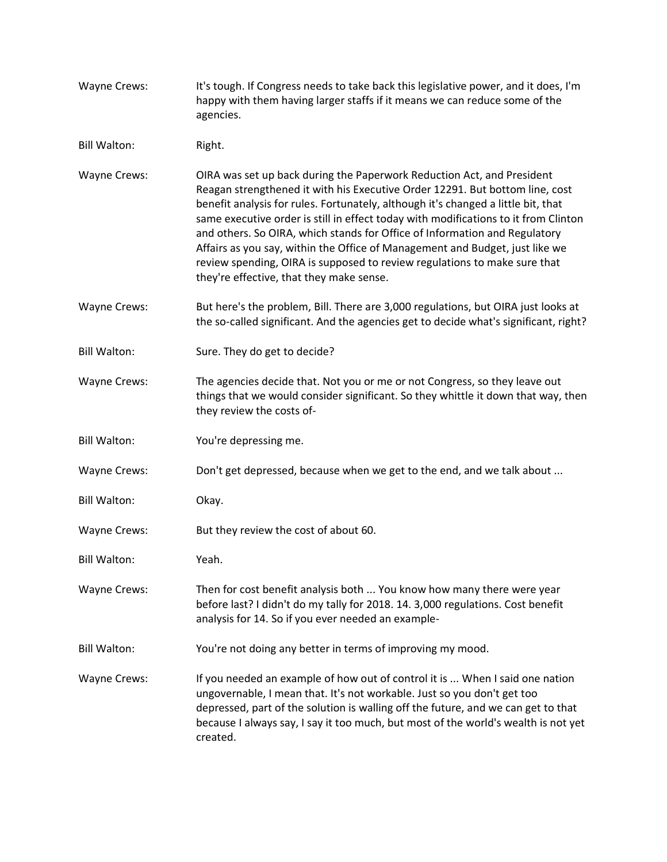- Wayne Crews: It's tough. If Congress needs to take back this legislative power, and it does, I'm happy with them having larger staffs if it means we can reduce some of the agencies.
- Bill Walton: Right.
- Wayne Crews: OIRA was set up back during the Paperwork Reduction Act, and President Reagan strengthened it with his Executive Order 12291. But bottom line, cost benefit analysis for rules. Fortunately, although it's changed a little bit, that same executive order is still in effect today with modifications to it from Clinton and others. So OIRA, which stands for Office of Information and Regulatory Affairs as you say, within the Office of Management and Budget, just like we review spending, OIRA is supposed to review regulations to make sure that they're effective, that they make sense.
- Wayne Crews: But here's the problem, Bill. There are 3,000 regulations, but OIRA just looks at the so-called significant. And the agencies get to decide what's significant, right?
- Bill Walton: Sure. They do get to decide?
- Wayne Crews: The agencies decide that. Not you or me or not Congress, so they leave out things that we would consider significant. So they whittle it down that way, then they review the costs of-
- Bill Walton: You're depressing me.
- Wayne Crews: Don't get depressed, because when we get to the end, and we talk about ...
- Bill Walton: Okay.
- Wayne Crews: But they review the cost of about 60.
- Bill Walton: Yeah.
- Wayne Crews: Then for cost benefit analysis both ... You know how many there were year before last? I didn't do my tally for 2018. 14. 3,000 regulations. Cost benefit analysis for 14. So if you ever needed an example-
- Bill Walton: You're not doing any better in terms of improving my mood.
- Wayne Crews: If you needed an example of how out of control it is ... When I said one nation ungovernable, I mean that. It's not workable. Just so you don't get too depressed, part of the solution is walling off the future, and we can get to that because I always say, I say it too much, but most of the world's wealth is not yet created.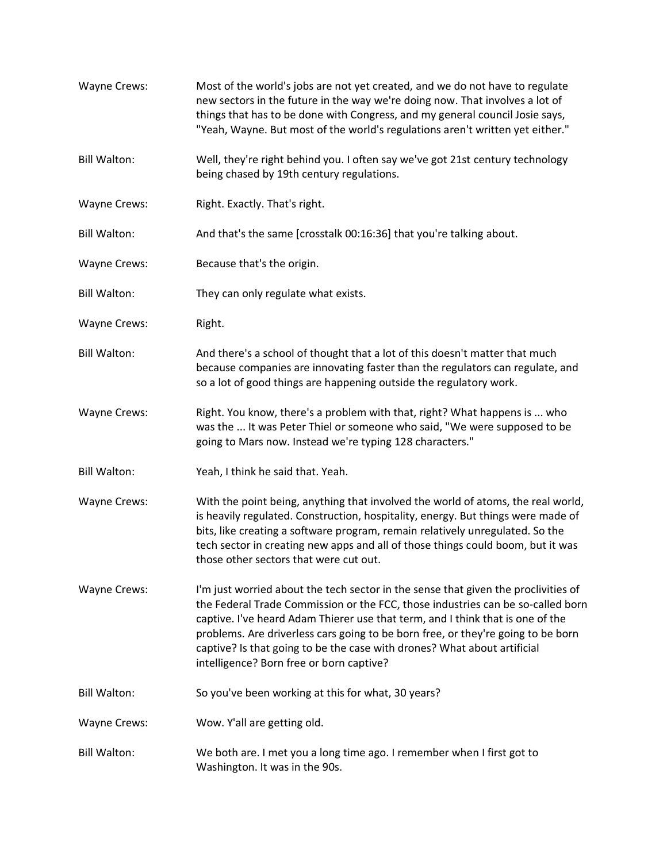| Wayne Crews:        | Most of the world's jobs are not yet created, and we do not have to regulate<br>new sectors in the future in the way we're doing now. That involves a lot of<br>things that has to be done with Congress, and my general council Josie says,<br>"Yeah, Wayne. But most of the world's regulations aren't written yet either."                                                                                                                                       |
|---------------------|---------------------------------------------------------------------------------------------------------------------------------------------------------------------------------------------------------------------------------------------------------------------------------------------------------------------------------------------------------------------------------------------------------------------------------------------------------------------|
| <b>Bill Walton:</b> | Well, they're right behind you. I often say we've got 21st century technology<br>being chased by 19th century regulations.                                                                                                                                                                                                                                                                                                                                          |
| Wayne Crews:        | Right. Exactly. That's right.                                                                                                                                                                                                                                                                                                                                                                                                                                       |
| <b>Bill Walton:</b> | And that's the same [crosstalk 00:16:36] that you're talking about.                                                                                                                                                                                                                                                                                                                                                                                                 |
| <b>Wayne Crews:</b> | Because that's the origin.                                                                                                                                                                                                                                                                                                                                                                                                                                          |
| <b>Bill Walton:</b> | They can only regulate what exists.                                                                                                                                                                                                                                                                                                                                                                                                                                 |
| <b>Wayne Crews:</b> | Right.                                                                                                                                                                                                                                                                                                                                                                                                                                                              |
| <b>Bill Walton:</b> | And there's a school of thought that a lot of this doesn't matter that much<br>because companies are innovating faster than the regulators can regulate, and<br>so a lot of good things are happening outside the regulatory work.                                                                                                                                                                                                                                  |
| Wayne Crews:        | Right. You know, there's a problem with that, right? What happens is  who<br>was the  It was Peter Thiel or someone who said, "We were supposed to be<br>going to Mars now. Instead we're typing 128 characters."                                                                                                                                                                                                                                                   |
| <b>Bill Walton:</b> | Yeah, I think he said that. Yeah.                                                                                                                                                                                                                                                                                                                                                                                                                                   |
| Wayne Crews:        | With the point being, anything that involved the world of atoms, the real world,<br>is heavily regulated. Construction, hospitality, energy. But things were made of<br>bits, like creating a software program, remain relatively unregulated. So the<br>tech sector in creating new apps and all of those things could boom, but it was<br>those other sectors that were cut out.                                                                                  |
| <b>Wayne Crews:</b> | I'm just worried about the tech sector in the sense that given the proclivities of<br>the Federal Trade Commission or the FCC, those industries can be so-called born<br>captive. I've heard Adam Thierer use that term, and I think that is one of the<br>problems. Are driverless cars going to be born free, or they're going to be born<br>captive? Is that going to be the case with drones? What about artificial<br>intelligence? Born free or born captive? |
| <b>Bill Walton:</b> | So you've been working at this for what, 30 years?                                                                                                                                                                                                                                                                                                                                                                                                                  |
| <b>Wayne Crews:</b> | Wow. Y'all are getting old.                                                                                                                                                                                                                                                                                                                                                                                                                                         |
| <b>Bill Walton:</b> | We both are. I met you a long time ago. I remember when I first got to<br>Washington. It was in the 90s.                                                                                                                                                                                                                                                                                                                                                            |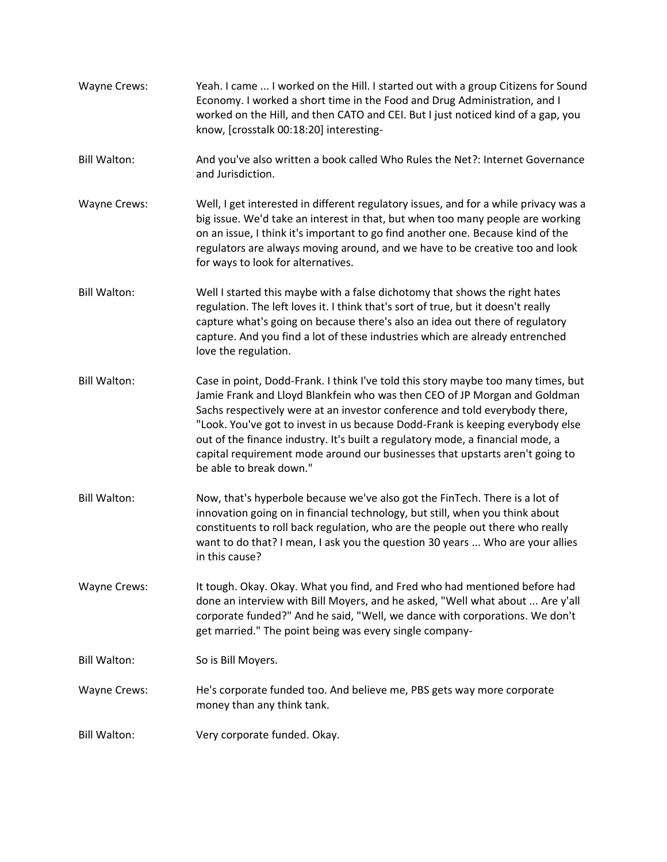- Wayne Crews: Yeah. I came ... I worked on the Hill. I started out with a group Citizens for Sound Economy. I worked a short time in the Food and Drug Administration, and I worked on the Hill, and then CATO and CEI. But I just noticed kind of a gap, you know, [crosstalk 00:18:20] interesting-
- Bill Walton: And you've also written a book called Who Rules the Net?: Internet Governance and Jurisdiction.
- Wayne Crews: Well, I get interested in different regulatory issues, and for a while privacy was a big issue. We'd take an interest in that, but when too many people are working on an issue, I think it's important to go find another one. Because kind of the regulators are always moving around, and we have to be creative too and look for ways to look for alternatives.
- Bill Walton: Well I started this maybe with a false dichotomy that shows the right hates regulation. The left loves it. I think that's sort of true, but it doesn't really capture what's going on because there's also an idea out there of regulatory capture. And you find a lot of these industries which are already entrenched love the regulation.
- Bill Walton: Case in point, Dodd-Frank. I think I've told this story maybe too many times, but Jamie Frank and Lloyd Blankfein who was then CEO of JP Morgan and Goldman Sachs respectively were at an investor conference and told everybody there, "Look. You've got to invest in us because Dodd-Frank is keeping everybody else out of the finance industry. It's built a regulatory mode, a financial mode, a capital requirement mode around our businesses that upstarts aren't going to be able to break down."
- Bill Walton: Now, that's hyperbole because we've also got the FinTech. There is a lot of innovation going on in financial technology, but still, when you think about constituents to roll back regulation, who are the people out there who really want to do that? I mean, I ask you the question 30 years ... Who are your allies in this cause?

Wayne Crews: It tough. Okay. Okay. What you find, and Fred who had mentioned before had done an interview with Bill Moyers, and he asked, "Well what about ... Are y'all corporate funded?" And he said, "Well, we dance with corporations. We don't get married." The point being was every single company-

Bill Walton: So is Bill Moyers.

- Wayne Crews: He's corporate funded too. And believe me, PBS gets way more corporate money than any think tank.
- Bill Walton: Very corporate funded. Okay.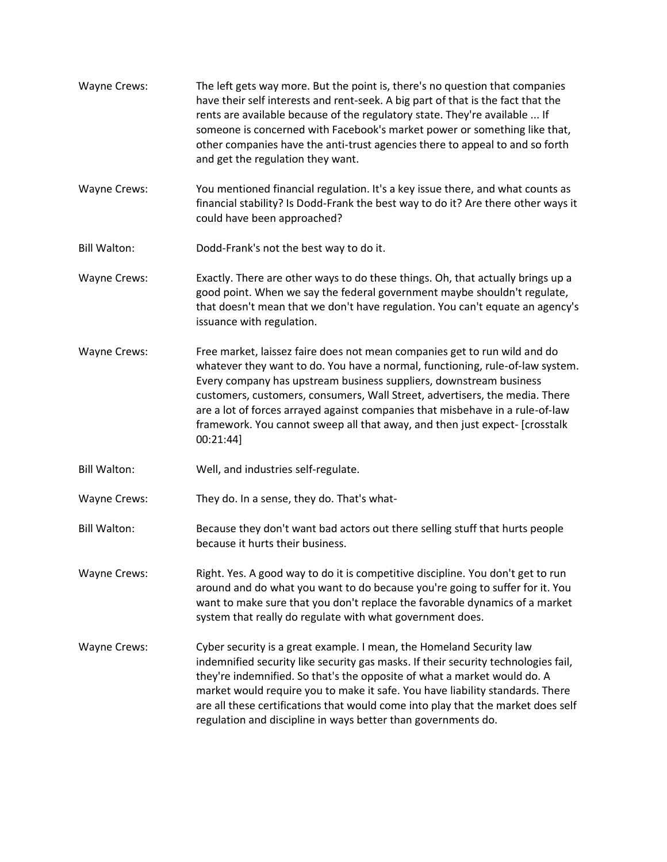Wayne Crews: The left gets way more. But the point is, there's no question that companies have their self interests and rent-seek. A big part of that is the fact that the rents are available because of the regulatory state. They're available ... If someone is concerned with Facebook's market power or something like that, other companies have the anti-trust agencies there to appeal to and so forth and get the regulation they want. Wayne Crews: You mentioned financial regulation. It's a key issue there, and what counts as financial stability? Is Dodd-Frank the best way to do it? Are there other ways it could have been approached? Bill Walton: Dodd-Frank's not the best way to do it. Wayne Crews: Exactly. There are other ways to do these things. Oh, that actually brings up a good point. When we say the federal government maybe shouldn't regulate, that doesn't mean that we don't have regulation. You can't equate an agency's issuance with regulation. Wayne Crews: Free market, laissez faire does not mean companies get to run wild and do whatever they want to do. You have a normal, functioning, rule-of-law system. Every company has upstream business suppliers, downstream business customers, customers, consumers, Wall Street, advertisers, the media. There are a lot of forces arrayed against companies that misbehave in a rule-of-law framework. You cannot sweep all that away, and then just expect- [crosstalk 00:21:44] Bill Walton: Well, and industries self-regulate. Wayne Crews: They do. In a sense, they do. That's what-Bill Walton: Because they don't want bad actors out there selling stuff that hurts people because it hurts their business. Wayne Crews: Right. Yes. A good way to do it is competitive discipline. You don't get to run around and do what you want to do because you're going to suffer for it. You want to make sure that you don't replace the favorable dynamics of a market system that really do regulate with what government does. Wayne Crews: Cyber security is a great example. I mean, the Homeland Security law indemnified security like security gas masks. If their security technologies fail, they're indemnified. So that's the opposite of what a market would do. A market would require you to make it safe. You have liability standards. There are all these certifications that would come into play that the market does self regulation and discipline in ways better than governments do.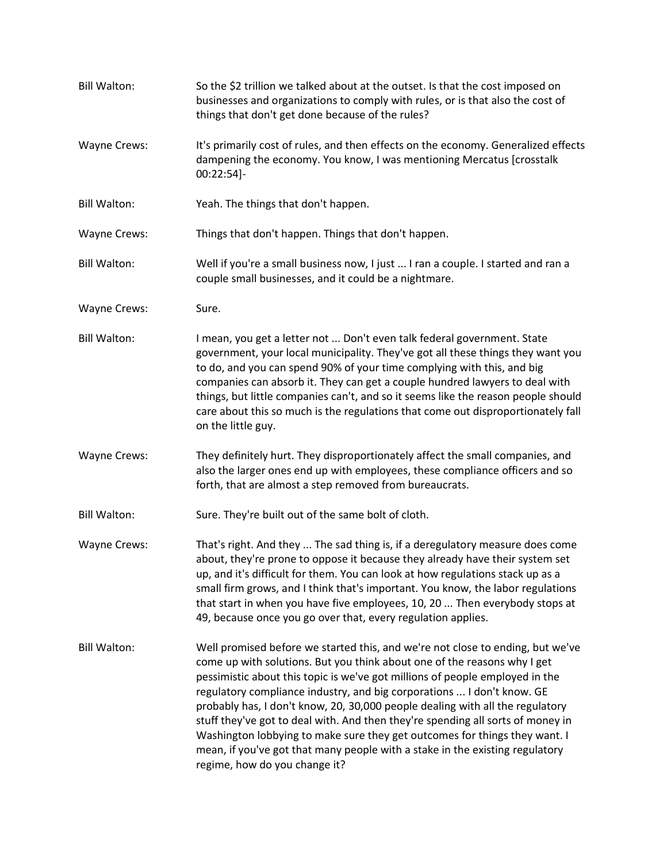| <b>Bill Walton:</b> | So the \$2 trillion we talked about at the outset. Is that the cost imposed on<br>businesses and organizations to comply with rules, or is that also the cost of<br>things that don't get done because of the rules?                                                                                                                                                                                                                                                                                                                                                                                                                                                                    |
|---------------------|-----------------------------------------------------------------------------------------------------------------------------------------------------------------------------------------------------------------------------------------------------------------------------------------------------------------------------------------------------------------------------------------------------------------------------------------------------------------------------------------------------------------------------------------------------------------------------------------------------------------------------------------------------------------------------------------|
| Wayne Crews:        | It's primarily cost of rules, and then effects on the economy. Generalized effects<br>dampening the economy. You know, I was mentioning Mercatus [crosstalk<br>00:22:54]-                                                                                                                                                                                                                                                                                                                                                                                                                                                                                                               |
| <b>Bill Walton:</b> | Yeah. The things that don't happen.                                                                                                                                                                                                                                                                                                                                                                                                                                                                                                                                                                                                                                                     |
| Wayne Crews:        | Things that don't happen. Things that don't happen.                                                                                                                                                                                                                                                                                                                                                                                                                                                                                                                                                                                                                                     |
| <b>Bill Walton:</b> | Well if you're a small business now, I just  I ran a couple. I started and ran a<br>couple small businesses, and it could be a nightmare.                                                                                                                                                                                                                                                                                                                                                                                                                                                                                                                                               |
| Wayne Crews:        | Sure.                                                                                                                                                                                                                                                                                                                                                                                                                                                                                                                                                                                                                                                                                   |
| <b>Bill Walton:</b> | I mean, you get a letter not  Don't even talk federal government. State<br>government, your local municipality. They've got all these things they want you<br>to do, and you can spend 90% of your time complying with this, and big<br>companies can absorb it. They can get a couple hundred lawyers to deal with<br>things, but little companies can't, and so it seems like the reason people should<br>care about this so much is the regulations that come out disproportionately fall<br>on the little guy.                                                                                                                                                                      |
| Wayne Crews:        | They definitely hurt. They disproportionately affect the small companies, and<br>also the larger ones end up with employees, these compliance officers and so<br>forth, that are almost a step removed from bureaucrats.                                                                                                                                                                                                                                                                                                                                                                                                                                                                |
| <b>Bill Walton:</b> | Sure. They're built out of the same bolt of cloth.                                                                                                                                                                                                                                                                                                                                                                                                                                                                                                                                                                                                                                      |
| Wayne Crews:        | That's right. And they  The sad thing is, if a deregulatory measure does come<br>about, they're prone to oppose it because they already have their system set<br>up, and it's difficult for them. You can look at how regulations stack up as a<br>small firm grows, and I think that's important. You know, the labor regulations<br>that start in when you have five employees, 10, 20  Then everybody stops at<br>49, because once you go over that, every regulation applies.                                                                                                                                                                                                       |
| <b>Bill Walton:</b> | Well promised before we started this, and we're not close to ending, but we've<br>come up with solutions. But you think about one of the reasons why I get<br>pessimistic about this topic is we've got millions of people employed in the<br>regulatory compliance industry, and big corporations  I don't know. GE<br>probably has, I don't know, 20, 30,000 people dealing with all the regulatory<br>stuff they've got to deal with. And then they're spending all sorts of money in<br>Washington lobbying to make sure they get outcomes for things they want. I<br>mean, if you've got that many people with a stake in the existing regulatory<br>regime, how do you change it? |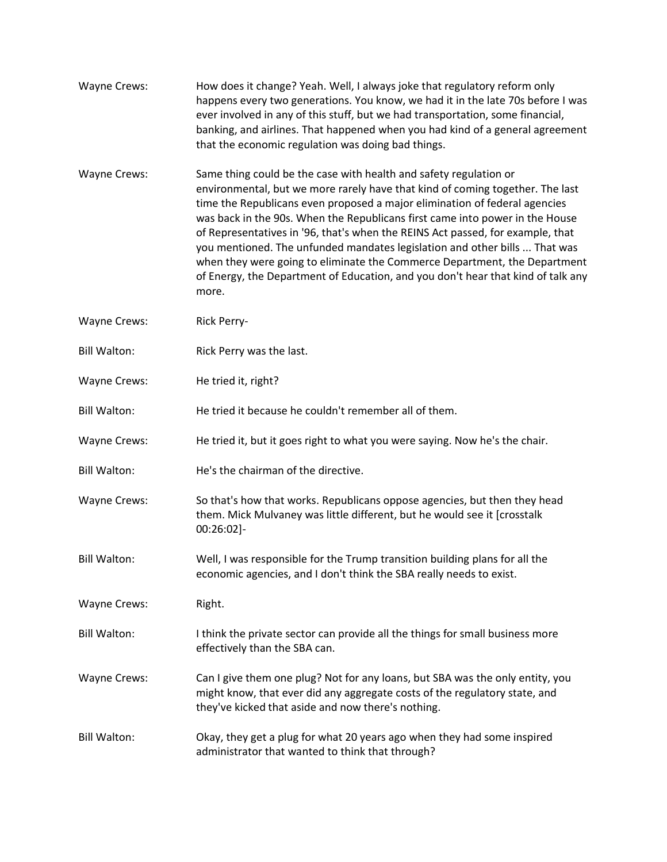| <b>Wayne Crews:</b> | How does it change? Yeah. Well, I always joke that regulatory reform only<br>happens every two generations. You know, we had it in the late 70s before I was<br>ever involved in any of this stuff, but we had transportation, some financial,<br>banking, and airlines. That happened when you had kind of a general agreement<br>that the economic regulation was doing bad things.                                                                                                                                                                                                                                                                      |
|---------------------|------------------------------------------------------------------------------------------------------------------------------------------------------------------------------------------------------------------------------------------------------------------------------------------------------------------------------------------------------------------------------------------------------------------------------------------------------------------------------------------------------------------------------------------------------------------------------------------------------------------------------------------------------------|
| <b>Wayne Crews:</b> | Same thing could be the case with health and safety regulation or<br>environmental, but we more rarely have that kind of coming together. The last<br>time the Republicans even proposed a major elimination of federal agencies<br>was back in the 90s. When the Republicans first came into power in the House<br>of Representatives in '96, that's when the REINS Act passed, for example, that<br>you mentioned. The unfunded mandates legislation and other bills  That was<br>when they were going to eliminate the Commerce Department, the Department<br>of Energy, the Department of Education, and you don't hear that kind of talk any<br>more. |
| Wayne Crews:        | Rick Perry-                                                                                                                                                                                                                                                                                                                                                                                                                                                                                                                                                                                                                                                |
| <b>Bill Walton:</b> | Rick Perry was the last.                                                                                                                                                                                                                                                                                                                                                                                                                                                                                                                                                                                                                                   |
| Wayne Crews:        | He tried it, right?                                                                                                                                                                                                                                                                                                                                                                                                                                                                                                                                                                                                                                        |
| <b>Bill Walton:</b> | He tried it because he couldn't remember all of them.                                                                                                                                                                                                                                                                                                                                                                                                                                                                                                                                                                                                      |
| Wayne Crews:        | He tried it, but it goes right to what you were saying. Now he's the chair.                                                                                                                                                                                                                                                                                                                                                                                                                                                                                                                                                                                |
| <b>Bill Walton:</b> | He's the chairman of the directive.                                                                                                                                                                                                                                                                                                                                                                                                                                                                                                                                                                                                                        |
| Wayne Crews:        | So that's how that works. Republicans oppose agencies, but then they head<br>them. Mick Mulvaney was little different, but he would see it [crosstalk<br>00:26:02]-                                                                                                                                                                                                                                                                                                                                                                                                                                                                                        |
| <b>Bill Walton:</b> | Well, I was responsible for the Trump transition building plans for all the<br>economic agencies, and I don't think the SBA really needs to exist.                                                                                                                                                                                                                                                                                                                                                                                                                                                                                                         |
| Wayne Crews:        | Right.                                                                                                                                                                                                                                                                                                                                                                                                                                                                                                                                                                                                                                                     |
| <b>Bill Walton:</b> | I think the private sector can provide all the things for small business more<br>effectively than the SBA can.                                                                                                                                                                                                                                                                                                                                                                                                                                                                                                                                             |
| Wayne Crews:        | Can I give them one plug? Not for any loans, but SBA was the only entity, you<br>might know, that ever did any aggregate costs of the regulatory state, and<br>they've kicked that aside and now there's nothing.                                                                                                                                                                                                                                                                                                                                                                                                                                          |
| <b>Bill Walton:</b> | Okay, they get a plug for what 20 years ago when they had some inspired<br>administrator that wanted to think that through?                                                                                                                                                                                                                                                                                                                                                                                                                                                                                                                                |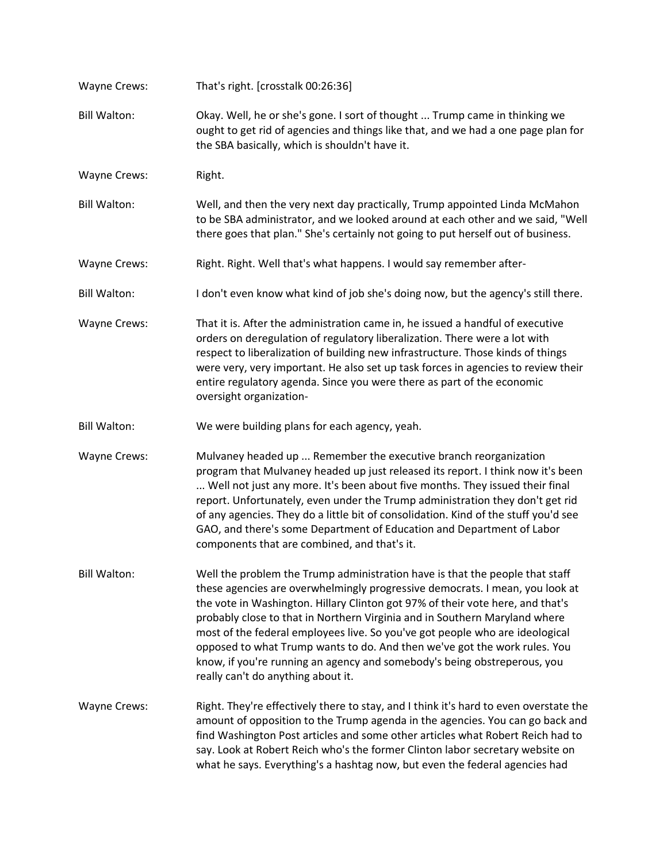| Wayne Crews:        | That's right. [crosstalk 00:26:36]                                                                                                                                                                                                                                                                                                                                                                                                                                                                                                                                                                          |
|---------------------|-------------------------------------------------------------------------------------------------------------------------------------------------------------------------------------------------------------------------------------------------------------------------------------------------------------------------------------------------------------------------------------------------------------------------------------------------------------------------------------------------------------------------------------------------------------------------------------------------------------|
| <b>Bill Walton:</b> | Okay. Well, he or she's gone. I sort of thought  Trump came in thinking we<br>ought to get rid of agencies and things like that, and we had a one page plan for<br>the SBA basically, which is shouldn't have it.                                                                                                                                                                                                                                                                                                                                                                                           |
| Wayne Crews:        | Right.                                                                                                                                                                                                                                                                                                                                                                                                                                                                                                                                                                                                      |
| <b>Bill Walton:</b> | Well, and then the very next day practically, Trump appointed Linda McMahon<br>to be SBA administrator, and we looked around at each other and we said, "Well<br>there goes that plan." She's certainly not going to put herself out of business.                                                                                                                                                                                                                                                                                                                                                           |
| Wayne Crews:        | Right. Right. Well that's what happens. I would say remember after-                                                                                                                                                                                                                                                                                                                                                                                                                                                                                                                                         |
| <b>Bill Walton:</b> | I don't even know what kind of job she's doing now, but the agency's still there.                                                                                                                                                                                                                                                                                                                                                                                                                                                                                                                           |
| Wayne Crews:        | That it is. After the administration came in, he issued a handful of executive<br>orders on deregulation of regulatory liberalization. There were a lot with<br>respect to liberalization of building new infrastructure. Those kinds of things<br>were very, very important. He also set up task forces in agencies to review their<br>entire regulatory agenda. Since you were there as part of the economic<br>oversight organization-                                                                                                                                                                   |
| <b>Bill Walton:</b> | We were building plans for each agency, yeah.                                                                                                                                                                                                                                                                                                                                                                                                                                                                                                                                                               |
| Wayne Crews:        | Mulvaney headed up  Remember the executive branch reorganization<br>program that Mulvaney headed up just released its report. I think now it's been<br>Well not just any more. It's been about five months. They issued their final<br>report. Unfortunately, even under the Trump administration they don't get rid<br>of any agencies. They do a little bit of consolidation. Kind of the stuff you'd see<br>GAO, and there's some Department of Education and Department of Labor<br>components that are combined, and that's it.                                                                        |
| <b>Bill Walton:</b> | Well the problem the Trump administration have is that the people that staff<br>these agencies are overwhelmingly progressive democrats. I mean, you look at<br>the vote in Washington. Hillary Clinton got 97% of their vote here, and that's<br>probably close to that in Northern Virginia and in Southern Maryland where<br>most of the federal employees live. So you've got people who are ideological<br>opposed to what Trump wants to do. And then we've got the work rules. You<br>know, if you're running an agency and somebody's being obstreperous, you<br>really can't do anything about it. |
| Wayne Crews:        | Right. They're effectively there to stay, and I think it's hard to even overstate the<br>amount of opposition to the Trump agenda in the agencies. You can go back and<br>find Washington Post articles and some other articles what Robert Reich had to<br>say. Look at Robert Reich who's the former Clinton labor secretary website on<br>what he says. Everything's a hashtag now, but even the federal agencies had                                                                                                                                                                                    |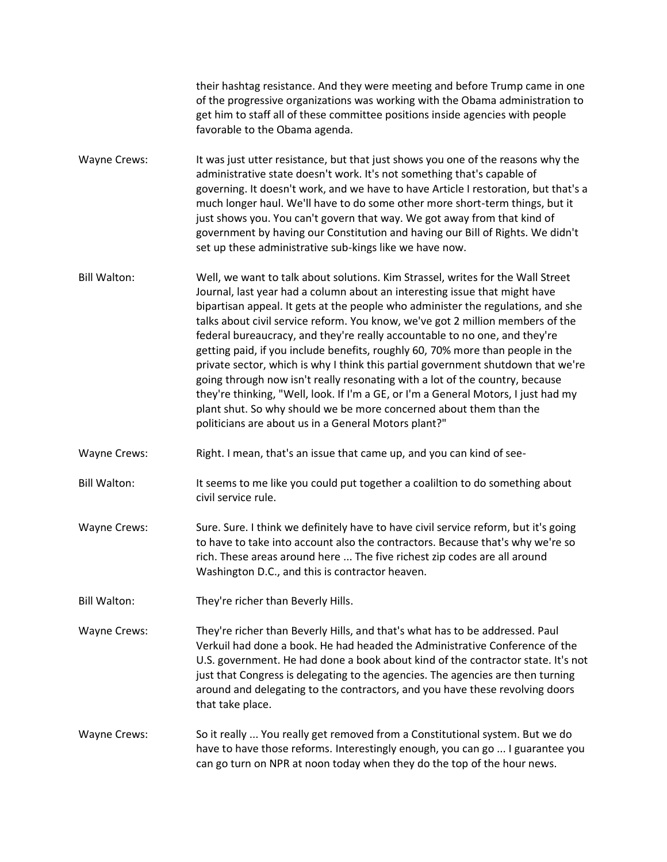their hashtag resistance. And they were meeting and before Trump came in one of the progressive organizations was working with the Obama administration to get him to staff all of these committee positions inside agencies with people favorable to the Obama agenda. Wayne Crews: It was just utter resistance, but that just shows you one of the reasons why the administrative state doesn't work. It's not something that's capable of governing. It doesn't work, and we have to have Article I restoration, but that's a much longer haul. We'll have to do some other more short-term things, but it just shows you. You can't govern that way. We got away from that kind of government by having our Constitution and having our Bill of Rights. We didn't

Bill Walton: Well, we want to talk about solutions. Kim Strassel, writes for the Wall Street Journal, last year had a column about an interesting issue that might have bipartisan appeal. It gets at the people who administer the regulations, and she talks about civil service reform. You know, we've got 2 million members of the federal bureaucracy, and they're really accountable to no one, and they're getting paid, if you include benefits, roughly 60, 70% more than people in the private sector, which is why I think this partial government shutdown that we're going through now isn't really resonating with a lot of the country, because they're thinking, "Well, look. If I'm a GE, or I'm a General Motors, I just had my plant shut. So why should we be more concerned about them than the politicians are about us in a General Motors plant?"

set up these administrative sub-kings like we have now.

- Wayne Crews: Right. I mean, that's an issue that came up, and you can kind of see-
- Bill Walton: It seems to me like you could put together a coaliltion to do something about civil service rule.
- Wayne Crews: Sure. Sure. I think we definitely have to have civil service reform, but it's going to have to take into account also the contractors. Because that's why we're so rich. These areas around here ... The five richest zip codes are all around Washington D.C., and this is contractor heaven.
- Bill Walton: They're richer than Beverly Hills.
- Wayne Crews: They're richer than Beverly Hills, and that's what has to be addressed. Paul Verkuil had done a book. He had headed the Administrative Conference of the U.S. government. He had done a book about kind of the contractor state. It's not just that Congress is delegating to the agencies. The agencies are then turning around and delegating to the contractors, and you have these revolving doors that take place.
- Wayne Crews: So it really ... You really get removed from a Constitutional system. But we do have to have those reforms. Interestingly enough, you can go ... I guarantee you can go turn on NPR at noon today when they do the top of the hour news.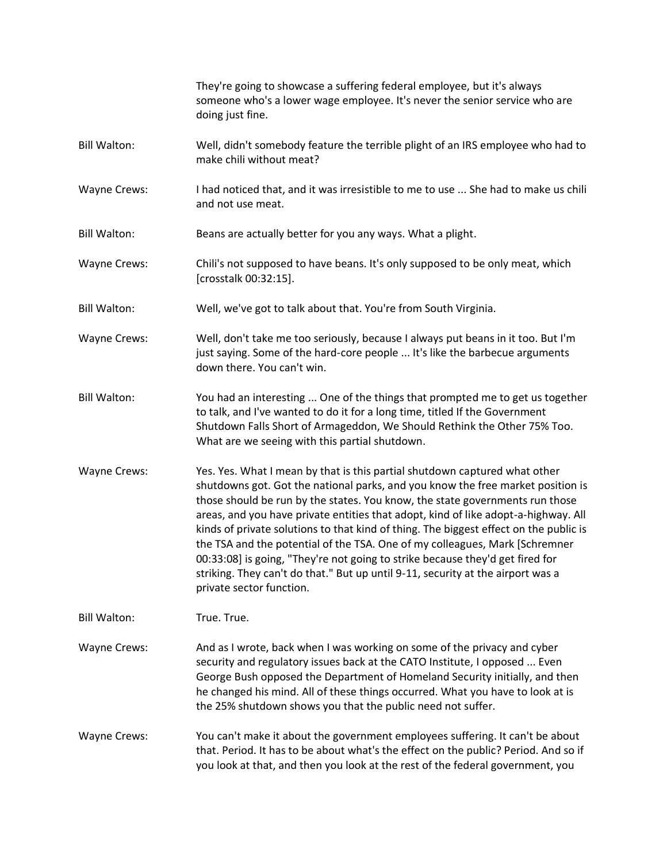|                     | They're going to showcase a suffering federal employee, but it's always<br>someone who's a lower wage employee. It's never the senior service who are<br>doing just fine.                                                                                                                                                                                                                                                                                                                                                                                                                                                                                                                                   |
|---------------------|-------------------------------------------------------------------------------------------------------------------------------------------------------------------------------------------------------------------------------------------------------------------------------------------------------------------------------------------------------------------------------------------------------------------------------------------------------------------------------------------------------------------------------------------------------------------------------------------------------------------------------------------------------------------------------------------------------------|
| <b>Bill Walton:</b> | Well, didn't somebody feature the terrible plight of an IRS employee who had to<br>make chili without meat?                                                                                                                                                                                                                                                                                                                                                                                                                                                                                                                                                                                                 |
| <b>Wayne Crews:</b> | I had noticed that, and it was irresistible to me to use  She had to make us chili<br>and not use meat.                                                                                                                                                                                                                                                                                                                                                                                                                                                                                                                                                                                                     |
| <b>Bill Walton:</b> | Beans are actually better for you any ways. What a plight.                                                                                                                                                                                                                                                                                                                                                                                                                                                                                                                                                                                                                                                  |
| <b>Wayne Crews:</b> | Chili's not supposed to have beans. It's only supposed to be only meat, which<br>[crosstalk 00:32:15].                                                                                                                                                                                                                                                                                                                                                                                                                                                                                                                                                                                                      |
| <b>Bill Walton:</b> | Well, we've got to talk about that. You're from South Virginia.                                                                                                                                                                                                                                                                                                                                                                                                                                                                                                                                                                                                                                             |
| Wayne Crews:        | Well, don't take me too seriously, because I always put beans in it too. But I'm<br>just saying. Some of the hard-core people  It's like the barbecue arguments<br>down there. You can't win.                                                                                                                                                                                                                                                                                                                                                                                                                                                                                                               |
| <b>Bill Walton:</b> | You had an interesting  One of the things that prompted me to get us together<br>to talk, and I've wanted to do it for a long time, titled If the Government<br>Shutdown Falls Short of Armageddon, We Should Rethink the Other 75% Too.<br>What are we seeing with this partial shutdown.                                                                                                                                                                                                                                                                                                                                                                                                                  |
| <b>Wayne Crews:</b> | Yes. Yes. What I mean by that is this partial shutdown captured what other<br>shutdowns got. Got the national parks, and you know the free market position is<br>those should be run by the states. You know, the state governments run those<br>areas, and you have private entities that adopt, kind of like adopt-a-highway. All<br>kinds of private solutions to that kind of thing. The biggest effect on the public is<br>the TSA and the potential of the TSA. One of my colleagues, Mark [Schremner<br>00:33:08] is going, "They're not going to strike because they'd get fired for<br>striking. They can't do that." But up until 9-11, security at the airport was a<br>private sector function. |
| <b>Bill Walton:</b> | True. True.                                                                                                                                                                                                                                                                                                                                                                                                                                                                                                                                                                                                                                                                                                 |
| <b>Wayne Crews:</b> | And as I wrote, back when I was working on some of the privacy and cyber<br>security and regulatory issues back at the CATO Institute, I opposed  Even<br>George Bush opposed the Department of Homeland Security initially, and then<br>he changed his mind. All of these things occurred. What you have to look at is<br>the 25% shutdown shows you that the public need not suffer.                                                                                                                                                                                                                                                                                                                      |
| <b>Wayne Crews:</b> | You can't make it about the government employees suffering. It can't be about<br>that. Period. It has to be about what's the effect on the public? Period. And so if<br>you look at that, and then you look at the rest of the federal government, you                                                                                                                                                                                                                                                                                                                                                                                                                                                      |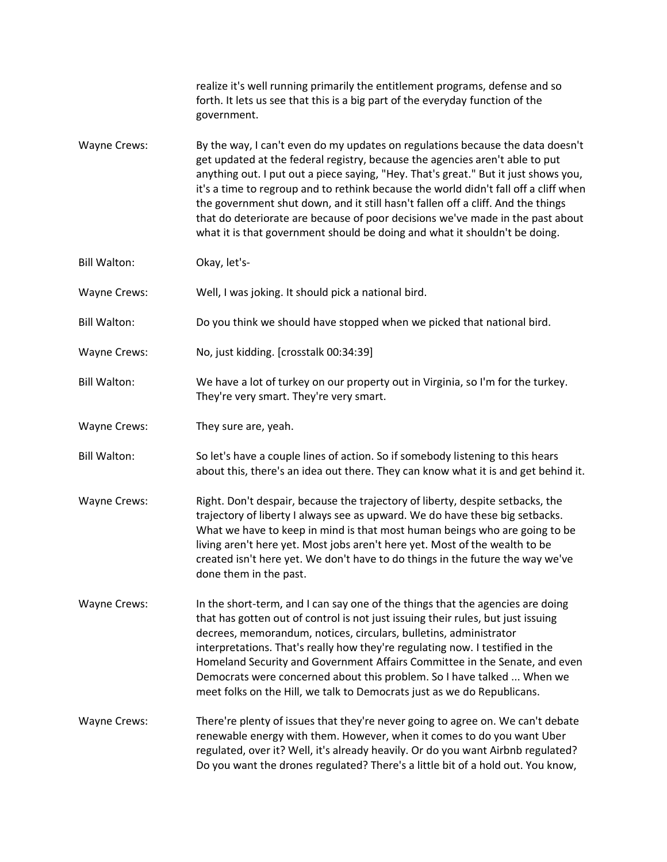|                     | realize it's well running primarily the entitlement programs, defense and so<br>forth. It lets us see that this is a big part of the everyday function of the<br>government.                                                                                                                                                                                                                                                                                                                                                                                                                      |
|---------------------|---------------------------------------------------------------------------------------------------------------------------------------------------------------------------------------------------------------------------------------------------------------------------------------------------------------------------------------------------------------------------------------------------------------------------------------------------------------------------------------------------------------------------------------------------------------------------------------------------|
| Wayne Crews:        | By the way, I can't even do my updates on regulations because the data doesn't<br>get updated at the federal registry, because the agencies aren't able to put<br>anything out. I put out a piece saying, "Hey. That's great." But it just shows you,<br>it's a time to regroup and to rethink because the world didn't fall off a cliff when<br>the government shut down, and it still hasn't fallen off a cliff. And the things<br>that do deteriorate are because of poor decisions we've made in the past about<br>what it is that government should be doing and what it shouldn't be doing. |
| <b>Bill Walton:</b> | Okay, let's-                                                                                                                                                                                                                                                                                                                                                                                                                                                                                                                                                                                      |
| <b>Wayne Crews:</b> | Well, I was joking. It should pick a national bird.                                                                                                                                                                                                                                                                                                                                                                                                                                                                                                                                               |
| <b>Bill Walton:</b> | Do you think we should have stopped when we picked that national bird.                                                                                                                                                                                                                                                                                                                                                                                                                                                                                                                            |
| Wayne Crews:        | No, just kidding. [crosstalk 00:34:39]                                                                                                                                                                                                                                                                                                                                                                                                                                                                                                                                                            |
| <b>Bill Walton:</b> | We have a lot of turkey on our property out in Virginia, so I'm for the turkey.<br>They're very smart. They're very smart.                                                                                                                                                                                                                                                                                                                                                                                                                                                                        |
| Wayne Crews:        | They sure are, yeah.                                                                                                                                                                                                                                                                                                                                                                                                                                                                                                                                                                              |
| <b>Bill Walton:</b> | So let's have a couple lines of action. So if somebody listening to this hears<br>about this, there's an idea out there. They can know what it is and get behind it.                                                                                                                                                                                                                                                                                                                                                                                                                              |
| Wayne Crews:        | Right. Don't despair, because the trajectory of liberty, despite setbacks, the<br>trajectory of liberty I always see as upward. We do have these big setbacks.<br>What we have to keep in mind is that most human beings who are going to be<br>living aren't here yet. Most jobs aren't here yet. Most of the wealth to be<br>created isn't here yet. We don't have to do things in the future the way we've<br>done them in the past.                                                                                                                                                           |
| <b>Wayne Crews:</b> | In the short-term, and I can say one of the things that the agencies are doing<br>that has gotten out of control is not just issuing their rules, but just issuing<br>decrees, memorandum, notices, circulars, bulletins, administrator<br>interpretations. That's really how they're regulating now. I testified in the<br>Homeland Security and Government Affairs Committee in the Senate, and even<br>Democrats were concerned about this problem. So I have talked  When we<br>meet folks on the Hill, we talk to Democrats just as we do Republicans.                                       |
| <b>Wayne Crews:</b> | There're plenty of issues that they're never going to agree on. We can't debate<br>renewable energy with them. However, when it comes to do you want Uber<br>regulated, over it? Well, it's already heavily. Or do you want Airbnb regulated?<br>Do you want the drones regulated? There's a little bit of a hold out. You know,                                                                                                                                                                                                                                                                  |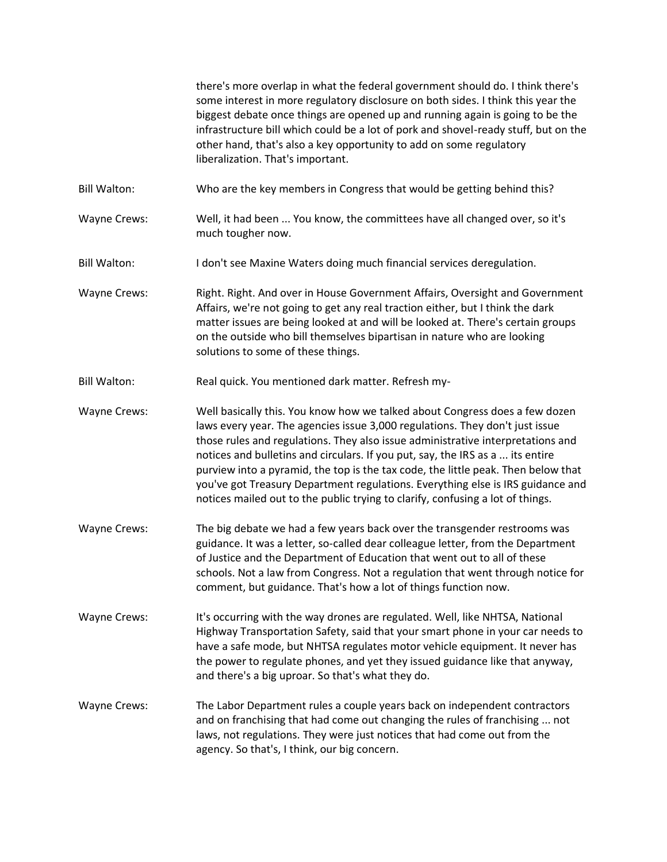|                     | there's more overlap in what the federal government should do. I think there's<br>some interest in more regulatory disclosure on both sides. I think this year the<br>biggest debate once things are opened up and running again is going to be the<br>infrastructure bill which could be a lot of pork and shovel-ready stuff, but on the<br>other hand, that's also a key opportunity to add on some regulatory<br>liberalization. That's important.                                                                                                                                     |
|---------------------|--------------------------------------------------------------------------------------------------------------------------------------------------------------------------------------------------------------------------------------------------------------------------------------------------------------------------------------------------------------------------------------------------------------------------------------------------------------------------------------------------------------------------------------------------------------------------------------------|
| <b>Bill Walton:</b> | Who are the key members in Congress that would be getting behind this?                                                                                                                                                                                                                                                                                                                                                                                                                                                                                                                     |
| <b>Wayne Crews:</b> | Well, it had been  You know, the committees have all changed over, so it's<br>much tougher now.                                                                                                                                                                                                                                                                                                                                                                                                                                                                                            |
| <b>Bill Walton:</b> | I don't see Maxine Waters doing much financial services deregulation.                                                                                                                                                                                                                                                                                                                                                                                                                                                                                                                      |
| <b>Wayne Crews:</b> | Right. Right. And over in House Government Affairs, Oversight and Government<br>Affairs, we're not going to get any real traction either, but I think the dark<br>matter issues are being looked at and will be looked at. There's certain groups<br>on the outside who bill themselves bipartisan in nature who are looking<br>solutions to some of these things.                                                                                                                                                                                                                         |
| <b>Bill Walton:</b> | Real quick. You mentioned dark matter. Refresh my-                                                                                                                                                                                                                                                                                                                                                                                                                                                                                                                                         |
| Wayne Crews:        | Well basically this. You know how we talked about Congress does a few dozen<br>laws every year. The agencies issue 3,000 regulations. They don't just issue<br>those rules and regulations. They also issue administrative interpretations and<br>notices and bulletins and circulars. If you put, say, the IRS as a  its entire<br>purview into a pyramid, the top is the tax code, the little peak. Then below that<br>you've got Treasury Department regulations. Everything else is IRS guidance and<br>notices mailed out to the public trying to clarify, confusing a lot of things. |
| Wayne Crews:        | The big debate we had a few years back over the transgender restrooms was<br>guidance. It was a letter, so-called dear colleague letter, from the Department<br>of Justice and the Department of Education that went out to all of these<br>schools. Not a law from Congress. Not a regulation that went through notice for<br>comment, but guidance. That's how a lot of things function now.                                                                                                                                                                                             |
| <b>Wayne Crews:</b> | It's occurring with the way drones are regulated. Well, like NHTSA, National<br>Highway Transportation Safety, said that your smart phone in your car needs to<br>have a safe mode, but NHTSA regulates motor vehicle equipment. It never has<br>the power to regulate phones, and yet they issued guidance like that anyway,<br>and there's a big uproar. So that's what they do.                                                                                                                                                                                                         |
| <b>Wayne Crews:</b> | The Labor Department rules a couple years back on independent contractors<br>and on franchising that had come out changing the rules of franchising  not<br>laws, not regulations. They were just notices that had come out from the<br>agency. So that's, I think, our big concern.                                                                                                                                                                                                                                                                                                       |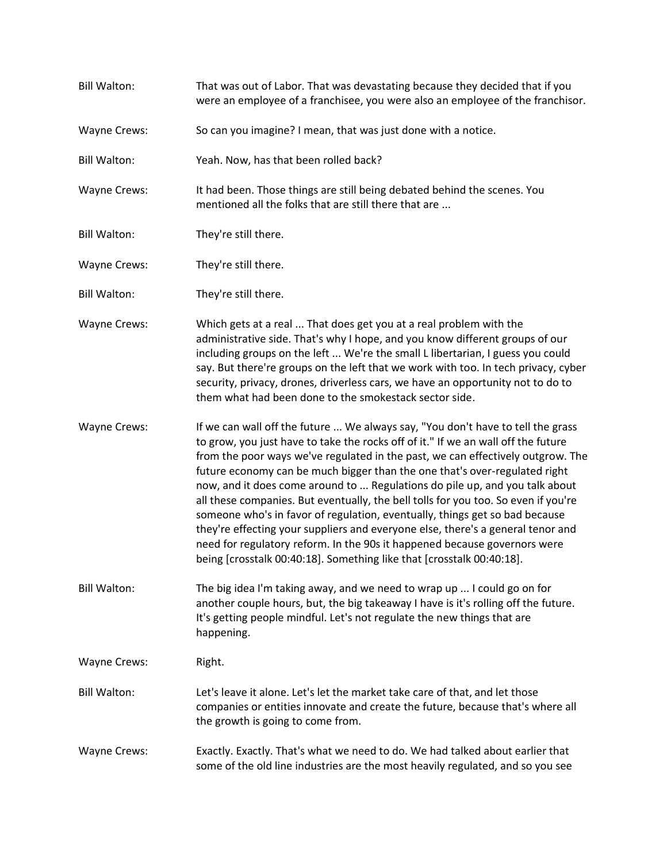Bill Walton: That was out of Labor. That was devastating because they decided that if you were an employee of a franchisee, you were also an employee of the franchisor. Wayne Crews: So can you imagine? I mean, that was just done with a notice. Bill Walton: Yeah. Now, has that been rolled back? Wayne Crews: It had been. Those things are still being debated behind the scenes. You mentioned all the folks that are still there that are ... Bill Walton: They're still there. Wayne Crews: They're still there. Bill Walton: They're still there. Wayne Crews: Which gets at a real ... That does get you at a real problem with the administrative side. That's why I hope, and you know different groups of our including groups on the left ... We're the small L libertarian, I guess you could say. But there're groups on the left that we work with too. In tech privacy, cyber security, privacy, drones, driverless cars, we have an opportunity not to do to them what had been done to the smokestack sector side. Wayne Crews: If we can wall off the future ... We always say, "You don't have to tell the grass to grow, you just have to take the rocks off of it." If we an wall off the future from the poor ways we've regulated in the past, we can effectively outgrow. The future economy can be much bigger than the one that's over-regulated right now, and it does come around to ... Regulations do pile up, and you talk about all these companies. But eventually, the bell tolls for you too. So even if you're someone who's in favor of regulation, eventually, things get so bad because they're effecting your suppliers and everyone else, there's a general tenor and need for regulatory reform. In the 90s it happened because governors were being [crosstalk 00:40:18]. Something like that [crosstalk 00:40:18]. Bill Walton: The big idea I'm taking away, and we need to wrap up ... I could go on for another couple hours, but, the big takeaway I have is it's rolling off the future. It's getting people mindful. Let's not regulate the new things that are happening. Wayne Crews: Right. Bill Walton: Let's leave it alone. Let's let the market take care of that, and let those companies or entities innovate and create the future, because that's where all the growth is going to come from. Wayne Crews: Exactly. Exactly. That's what we need to do. We had talked about earlier that some of the old line industries are the most heavily regulated, and so you see